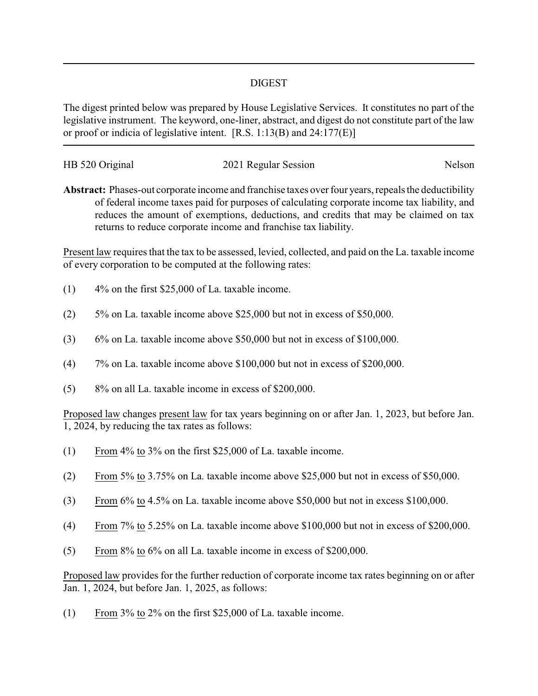## DIGEST

The digest printed below was prepared by House Legislative Services. It constitutes no part of the legislative instrument. The keyword, one-liner, abstract, and digest do not constitute part of the law or proof or indicia of legislative intent. [R.S. 1:13(B) and 24:177(E)]

| HB 520 Original | 2021 Regular Session | Nelson |
|-----------------|----------------------|--------|
|                 |                      |        |

**Abstract:** Phases-out corporate income and franchise taxes over four years, repeals the deductibility of federal income taxes paid for purposes of calculating corporate income tax liability, and reduces the amount of exemptions, deductions, and credits that may be claimed on tax returns to reduce corporate income and franchise tax liability.

Present law requires that the tax to be assessed, levied, collected, and paid on the La. taxable income of every corporation to be computed at the following rates:

- (1) 4% on the first \$25,000 of La. taxable income.
- (2) 5% on La. taxable income above \$25,000 but not in excess of \$50,000.
- (3) 6% on La. taxable income above \$50,000 but not in excess of \$100,000.
- (4) 7% on La. taxable income above \$100,000 but not in excess of \$200,000.
- (5) 8% on all La. taxable income in excess of \$200,000.

Proposed law changes present law for tax years beginning on or after Jan. 1, 2023, but before Jan. 1, 2024, by reducing the tax rates as follows:

- (1) From 4% to 3% on the first \$25,000 of La. taxable income.
- (2) From 5% to 3.75% on La. taxable income above \$25,000 but not in excess of \$50,000.
- (3) From 6% to 4.5% on La. taxable income above \$50,000 but not in excess \$100,000.
- (4) From 7% to 5.25% on La. taxable income above \$100,000 but not in excess of \$200,000.
- (5) From 8% to 6% on all La. taxable income in excess of \$200,000.

Proposed law provides for the further reduction of corporate income tax rates beginning on or after Jan. 1, 2024, but before Jan. 1, 2025, as follows:

(1) From 3% to 2% on the first \$25,000 of La. taxable income.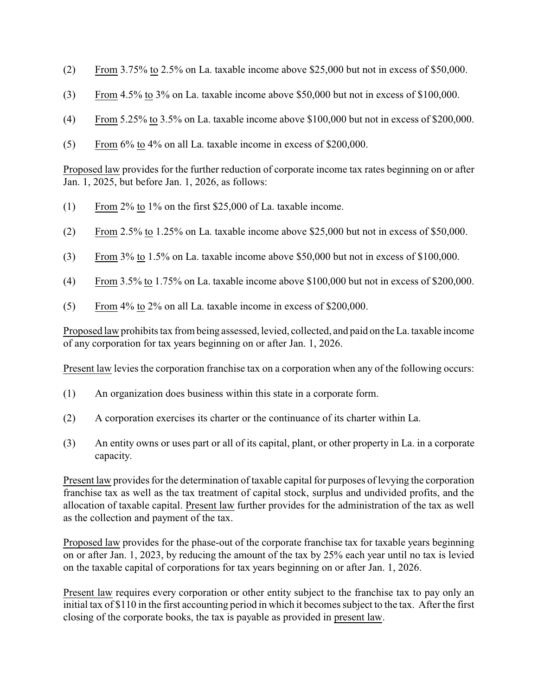- (2) From 3.75% to 2.5% on La. taxable income above \$25,000 but not in excess of \$50,000.
- (3) From 4.5% to 3% on La. taxable income above \$50,000 but not in excess of \$100,000.
- (4) From 5.25% to 3.5% on La. taxable income above \$100,000 but not in excess of \$200,000.
- (5) From 6% to 4% on all La. taxable income in excess of \$200,000.

Proposed law provides for the further reduction of corporate income tax rates beginning on or after Jan. 1, 2025, but before Jan. 1, 2026, as follows:

- (1) From 2% to 1% on the first \$25,000 of La. taxable income.
- (2) From 2.5% to 1.25% on La. taxable income above \$25,000 but not in excess of \$50,000.
- (3) From 3% to 1.5% on La. taxable income above \$50,000 but not in excess of \$100,000.
- (4) From 3.5% to 1.75% on La. taxable income above \$100,000 but not in excess of \$200,000.
- (5) From 4% to 2% on all La. taxable income in excess of \$200,000.

Proposed law prohibits tax from being assessed, levied, collected, and paid on the La. taxable income of any corporation for tax years beginning on or after Jan. 1, 2026.

Present law levies the corporation franchise tax on a corporation when any of the following occurs:

- (1) An organization does business within this state in a corporate form.
- (2) A corporation exercises its charter or the continuance of its charter within La.
- (3) An entity owns or uses part or all of its capital, plant, or other property in La. in a corporate capacity.

Present law provides for the determination of taxable capital for purposes of levying the corporation franchise tax as well as the tax treatment of capital stock, surplus and undivided profits, and the allocation of taxable capital. Present law further provides for the administration of the tax as well as the collection and payment of the tax.

Proposed law provides for the phase-out of the corporate franchise tax for taxable years beginning on or after Jan. 1, 2023, by reducing the amount of the tax by 25% each year until no tax is levied on the taxable capital of corporations for tax years beginning on or after Jan. 1, 2026.

Present law requires every corporation or other entity subject to the franchise tax to pay only an initial tax of \$110 in the first accounting period in which it becomes subject to the tax. After the first closing of the corporate books, the tax is payable as provided in present law.